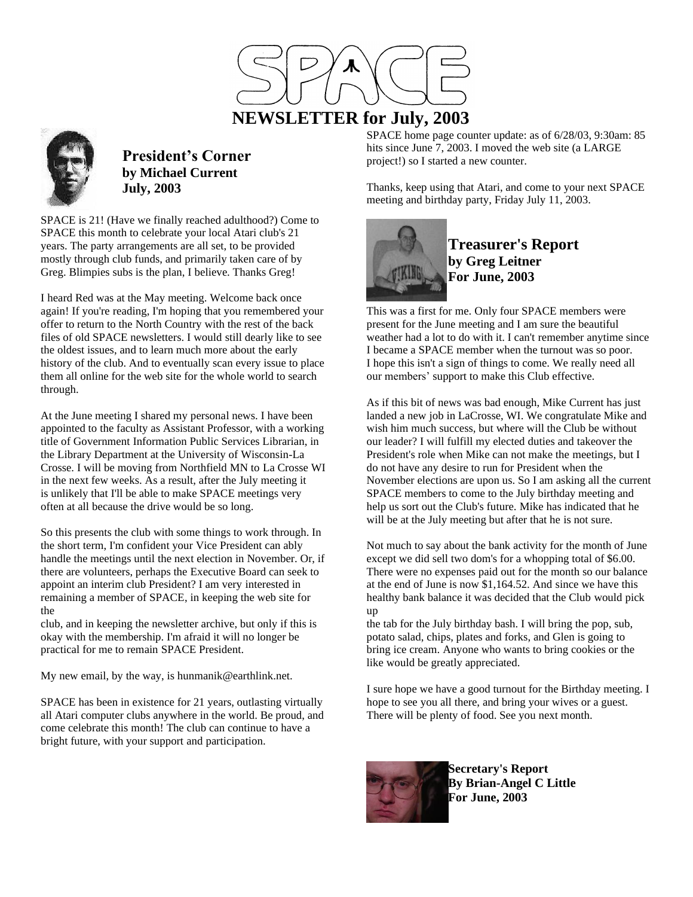



**President's Corner by Michael Current July, 2003**

SPACE is 21! (Have we finally reached adulthood?) Come to SPACE this month to celebrate your local Atari club's 21 years. The party arrangements are all set, to be provided mostly through club funds, and primarily taken care of by Greg. Blimpies subs is the plan, I believe. Thanks Greg!

I heard Red was at the May meeting. Welcome back once again! If you're reading, I'm hoping that you remembered your offer to return to the North Country with the rest of the back files of old SPACE newsletters. I would still dearly like to see the oldest issues, and to learn much more about the early history of the club. And to eventually scan every issue to place them all online for the web site for the whole world to search through.

At the June meeting I shared my personal news. I have been appointed to the faculty as Assistant Professor, with a working title of Government Information Public Services Librarian, in the Library Department at the University of Wisconsin-La Crosse. I will be moving from Northfield MN to La Crosse WI in the next few weeks. As a result, after the July meeting it is unlikely that I'll be able to make SPACE meetings very often at all because the drive would be so long.

So this presents the club with some things to work through. In the short term, I'm confident your Vice President can ably handle the meetings until the next election in November. Or, if there are volunteers, perhaps the Executive Board can seek to appoint an interim club President? I am very interested in remaining a member of SPACE, in keeping the web site for the

club, and in keeping the newsletter archive, but only if this is okay with the membership. I'm afraid it will no longer be practical for me to remain SPACE President.

My new email, by the way, is hunmanik@earthlink.net.

SPACE has been in existence for 21 years, outlasting virtually all Atari computer clubs anywhere in the world. Be proud, and come celebrate this month! The club can continue to have a bright future, with your support and participation.

SPACE home page counter update: as of 6/28/03, 9:30am: 85 hits since June 7, 2003. I moved the web site (a LARGE project!) so I started a new counter.

Thanks, keep using that Atari, and come to your next SPACE meeting and birthday party, Friday July 11, 2003.



**Treasurer's Report by Greg Leitner For June, 2003**

This was a first for me. Only four SPACE members were present for the June meeting and I am sure the beautiful weather had a lot to do with it. I can't remember anytime since I became a SPACE member when the turnout was so poor. I hope this isn't a sign of things to come. We really need all our members' support to make this Club effective.

As if this bit of news was bad enough, Mike Current has just landed a new job in LaCrosse, WI. We congratulate Mike and wish him much success, but where will the Club be without our leader? I will fulfill my elected duties and takeover the President's role when Mike can not make the meetings, but I do not have any desire to run for President when the November elections are upon us. So I am asking all the current SPACE members to come to the July birthday meeting and help us sort out the Club's future. Mike has indicated that he will be at the July meeting but after that he is not sure.

Not much to say about the bank activity for the month of June except we did sell two dom's for a whopping total of \$6.00. There were no expenses paid out for the month so our balance at the end of June is now \$1,164.52. And since we have this healthy bank balance it was decided that the Club would pick up

the tab for the July birthday bash. I will bring the pop, sub, potato salad, chips, plates and forks, and Glen is going to bring ice cream. Anyone who wants to bring cookies or the like would be greatly appreciated.

I sure hope we have a good turnout for the Birthday meeting. I hope to see you all there, and bring your wives or a guest. There will be plenty of food. See you next month.



**Secretary's Report By Brian-Angel C Little For June, 2003**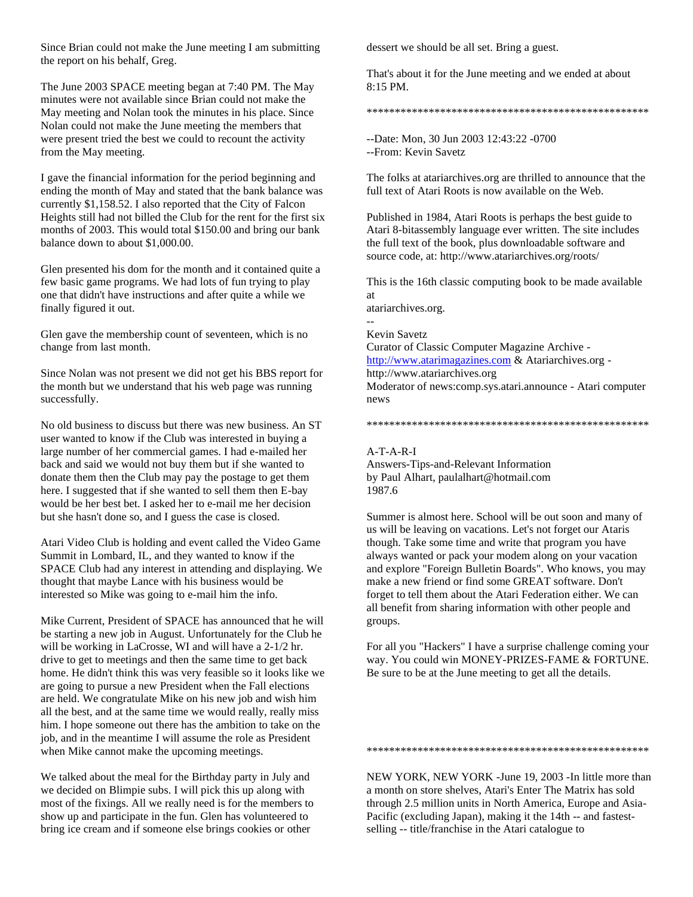Since Brian could not make the June meeting I am submitting the report on his behalf, Greg.

The June 2003 SPACE meeting began at 7:40 PM. The May minutes were not available since Brian could not make the May meeting and Nolan took the minutes in his place. Since Nolan could not make the June meeting the members that were present tried the best we could to recount the activity from the May meeting.

I gave the financial information for the period beginning and ending the month of May and stated that the bank balance was currently \$1,158.52. I also reported that the City of Falcon Heights still had not billed the Club for the rent for the first six months of 2003. This would total \$150.00 and bring our bank balance down to about \$1,000.00.

Glen presented his dom for the month and it contained quite a few basic game programs. We had lots of fun trying to play one that didn't have instructions and after quite a while we finally figured it out.

Glen gave the membership count of seventeen, which is no change from last month.

Since Nolan was not present we did not get his BBS report for the month but we understand that his web page was running successfully.

No old business to discuss but there was new business. An ST user wanted to know if the Club was interested in buying a large number of her commercial games. I had e-mailed her back and said we would not buy them but if she wanted to donate them then the Club may pay the postage to get them here. I suggested that if she wanted to sell them then E-bay would be her best bet. I asked her to e-mail me her decision but she hasn't done so, and I guess the case is closed.

Atari Video Club is holding and event called the Video Game Summit in Lombard, IL, and they wanted to know if the SPACE Club had any interest in attending and displaying. We thought that maybe Lance with his business would be interested so Mike was going to e-mail him the info.

Mike Current, President of SPACE has announced that he will be starting a new job in August. Unfortunately for the Club he will be working in LaCrosse, WI and will have a 2-1/2 hr. drive to get to meetings and then the same time to get back home. He didn't think this was very feasible so it looks like we are going to pursue a new President when the Fall elections are held. We congratulate Mike on his new job and wish him all the best, and at the same time we would really, really miss him. I hope someone out there has the ambition to take on the job, and in the meantime I will assume the role as President when Mike cannot make the upcoming meetings.

We talked about the meal for the Birthday party in July and we decided on Blimpie subs. I will pick this up along with most of the fixings. All we really need is for the members to show up and participate in the fun. Glen has volunteered to bring ice cream and if someone else brings cookies or other

dessert we should be all set. Bring a guest.

That's about it for the June meeting and we ended at about 8:15 PM.

\*\*\*\*\*\*\*\*\*\*\*\*\*\*\*\*\*\*\*\*\*\*\*\*\*\*\*\*\*\*\*\*\*\*\*\*\*\*\*\*\*\*\*\*\*\*\*\*\*\*

--Date: Mon, 30 Jun 2003 12:43:22 -0700 --From: Kevin Savetz

The folks at atariarchives.org are thrilled to announce that the full text of Atari Roots is now available on the Web.

Published in 1984, Atari Roots is perhaps the best guide to Atari 8-bitassembly language ever written. The site includes the full text of the book, plus downloadable software and source code, at: http://www.atariarchives.org/roots/

This is the 16th classic computing book to be made available at

atariarchives.org.

-- Kevin Savetz

Curator of Classic Computer Magazine Archive -

[http://www.atarimagazines.com](http://www.atarimagazines.com/) & Atariarchives.org -

http://www.atariarchives.org

Moderator of news:comp.sys.atari.announce - Atari computer news

\*\*\*\*\*\*\*\*\*\*\*\*\*\*\*\*\*\*\*\*\*\*\*\*\*\*\*\*\*\*\*\*\*\*\*\*\*\*\*\*\*\*\*\*\*\*\*\*\*\*

## A-T-A-R-I

Answers-Tips-and-Relevant Information by Paul Alhart, paulalhart@hotmail.com 1987.6

Summer is almost here. School will be out soon and many of us will be leaving on vacations. Let's not forget our Ataris though. Take some time and write that program you have always wanted or pack your modem along on your vacation and explore "Foreign Bulletin Boards". Who knows, you may make a new friend or find some GREAT software. Don't forget to tell them about the Atari Federation either. We can all benefit from sharing information with other people and groups.

For all you "Hackers" I have a surprise challenge coming your way. You could win MONEY-PRIZES-FAME & FORTUNE. Be sure to be at the June meeting to get all the details.

\*\*\*\*\*\*\*\*\*\*\*\*\*\*\*\*\*\*\*\*\*\*\*\*\*\*\*\*\*\*\*\*\*\*\*\*\*\*\*\*\*\*\*\*\*\*\*\*\*\*

NEW YORK, NEW YORK -June 19, 2003 -In little more than a month on store shelves, Atari's Enter The Matrix has sold through 2.5 million units in North America, Europe and Asia-Pacific (excluding Japan), making it the 14th -- and fastestselling -- title/franchise in the Atari catalogue to